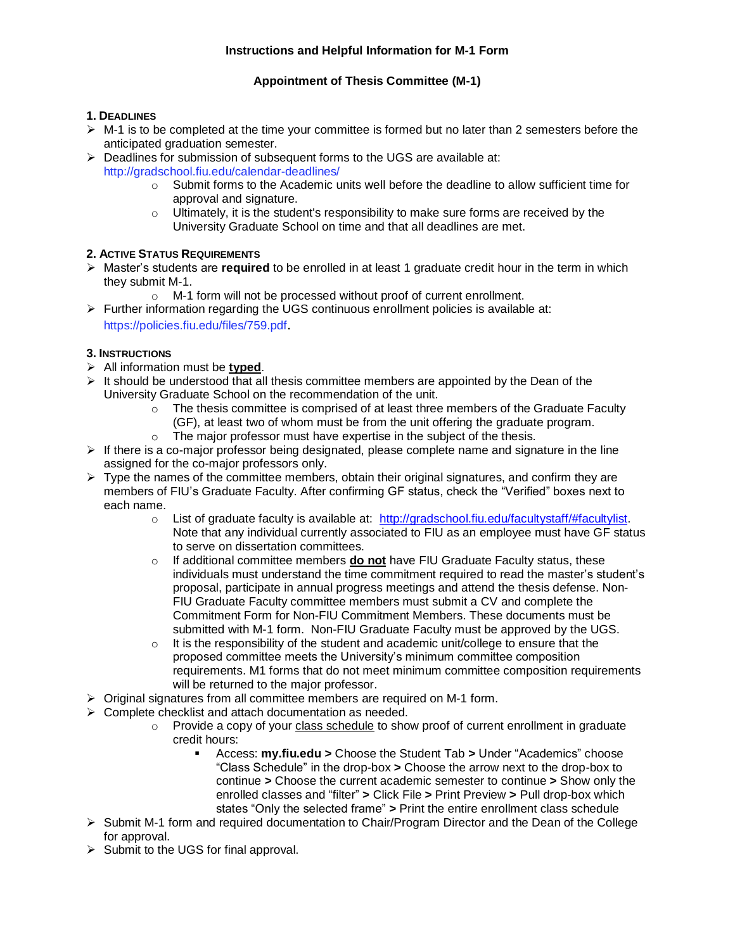## **Instructions and Helpful Information for M-1 Form**

## **Appointment of Thesis Committee (M-1)**

### **1. DEADLINES**

- $\triangleright$  M-1 is to be completed at the time your committee is formed but no later than 2 semesters before the anticipated graduation semester.
- ➢ Deadlines for submission of subsequent forms to the UGS are available at: http://gradschool.fiu.edu/calendar-deadlines/
	- o Submit forms to the Academic units well before the deadline to allow sufficient time for approval and signature.
	- $\circ$  Ultimately, it is the student's responsibility to make sure forms are received by the University Graduate School on time and that all deadlines are met.

# **2. ACTIVE STATUS REQUIREMENTS**

- ➢ Master's students are **required** to be enrolled in at least 1 graduate credit hour in the term in which they submit M-1.
	- o M-1 form will not be processed without proof of current enrollment.
- $\triangleright$  Further information regarding the UGS continuous enrollment policies is available at: https://policies.fiu.edu/files/759.pdf.

# **3. INSTRUCTIONS**

- ➢ All information must be **typed**.
- $\triangleright$  It should be understood that all thesis committee members are appointed by the Dean of the University Graduate School on the recommendation of the unit.
	- $\circ$  The thesis committee is comprised of at least three members of the Graduate Faculty (GF), at least two of whom must be from the unit offering the graduate program.
	- o The major professor must have expertise in the subject of the thesis.
- $\triangleright$  If there is a co-major professor being designated, please complete name and signature in the line assigned for the co-major professors only.
- $\triangleright$  Type the names of the committee members, obtain their original signatures, and confirm they are members of FIU's Graduate Faculty. After confirming GF status, check the "Verified" boxes next to each name.
	- $\circ$  List of graduate faculty is available at: [http://gradschool.fiu.edu/facultystaff/#facultylist.](http://gradschool.fiu.edu/facultystaff/#facultylist) Note that any individual currently associated to FIU as an employee must have GF status to serve on dissertation committees.
	- o If additional committee members **do not** have FIU Graduate Faculty status, these individuals must understand the time commitment required to read the master's student's proposal, participate in annual progress meetings and attend the thesis defense. Non-FIU Graduate Faculty committee members must submit a CV and complete the Commitment Form for Non-FIU Commitment Members. These documents must be submitted with M-1 form. Non-FIU Graduate Faculty must be approved by the UGS.
	- $\circ$  It is the responsibility of the student and academic unit/college to ensure that the proposed committee meets the University's minimum committee composition requirements. M1 forms that do not meet minimum committee composition requirements will be returned to the major professor.
- ➢ Original signatures from all committee members are required on M-1 form.
- ➢ Complete checklist and attach documentation as needed.
	- o Provide a copy of your class schedule to show proof of current enrollment in graduate credit hours:
		- Access: **my.fiu.edu >** Choose the Student Tab **>** Under "Academics" choose "Class Schedule" in the drop-box **>** Choose the arrow next to the drop-box to continue **>** Choose the current academic semester to continue **>** Show only the enrolled classes and "filter" **>** Click File **>** Print Preview **>** Pull drop-box which states "Only the selected frame" **>** Print the entire enrollment class schedule
- ➢ Submit M-1 form and required documentation to Chair/Program Director and the Dean of the College for approval.
- ➢ Submit to the UGS for final approval.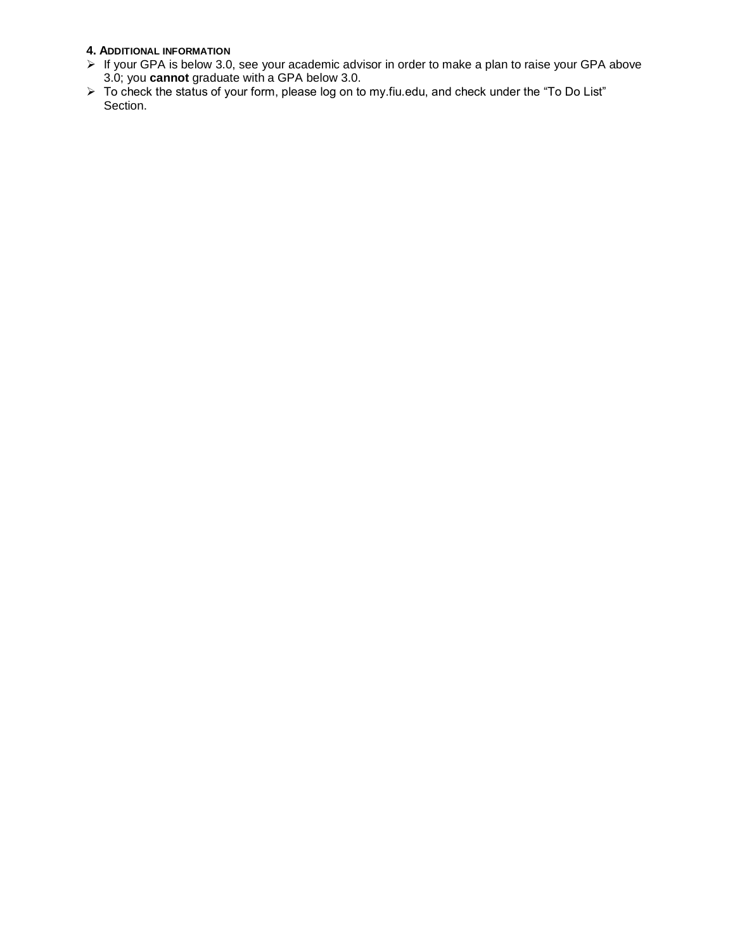# **4. ADDITIONAL INFORMATION**

- $\triangleright$  If your GPA is below 3.0, see your academic advisor in order to make a plan to raise your GPA above 3.0; you **cannot** graduate with a GPA below 3.0.
- ➢ To check the status of your form, please log on to my.fiu.edu, and check under the "To Do List" Section.